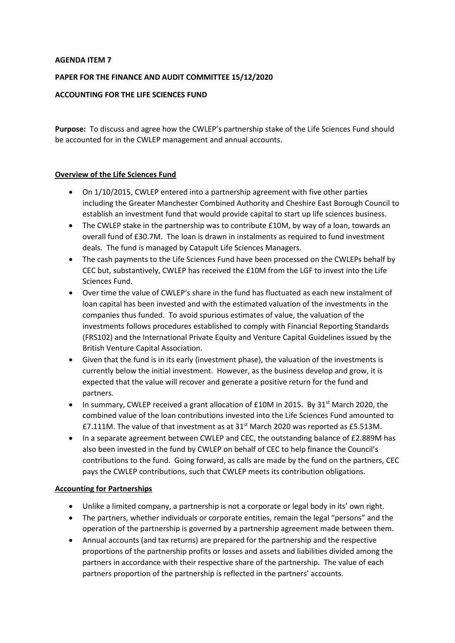#### **AGENDA ITEM 7**

### **PAPER FOR THE FINANCE AND AUDIT COMMITTEE 15/12/2020**

#### **ACCOUNTING FOR THE LIFE SCIENCES FUND**

**Purpose:** To discuss and agree how the CWLEP's partnership stake of the Life Sciences Fund should be accounted for in the CWLEP management and annual accounts.

#### **Overview of the Life Sciences Fund**

- On 1/10/2015, CWLEP entered into a partnership agreement with five other parties including the Greater Manchester Combined Authority and Cheshire East Borough Council to establish an investment fund that would provide capital to start up life sciences business.
- The CWLEP stake in the partnership was to contribute £10M, by way of a loan, towards an overall fund of £30.7M. The loan is drawn in instalments as required to fund investment deals. The fund is managed by Catapult Life Sciences Managers.
- The cash payments to the Life Sciences Fund have been processed on the CWLEPs behalf by CEC but, substantively, CWLEP has received the £10M from the LGF to invest into the Life Sciences Fund.
- Over time the value of CWLEP's share in the fund has fluctuated as each new instalment of loan capital has been invested and with the estimated valuation of the investments in the companies thus funded. To avoid spurious estimates of value, the valuation of the investments follows procedures established to comply with Financial Reporting Standards (FRS102) and the International Private Equity and Venture Capital Guidelines issued by the British Venture Capital Association.
- Given that the fund is in its early (investment phase), the valuation of the investments is currently below the initial investment. However, as the business develop and grow, it is expected that the value will recover and generate a positive return for the fund and partners.
- In summary, CWLEP received a grant allocation of £10M in 2015. By 31<sup>st</sup> March 2020, the combined value of the loan contributions invested into the Life Sciences Fund amounted to £7.111M. The value of that investment as at  $31<sup>st</sup>$  March 2020 was reported as £5.513M.
- In a separate agreement between CWLEP and CEC, the outstanding balance of £2.889M has also been invested in the fund by CWLEP on behalf of CEC to help finance the Council's contributions to the fund. Going forward, as calls are made by the fund on the partners, CEC pays the CWLEP contributions, such that CWLEP meets its contribution obligations.

#### **Accounting for Partnerships**

- Unlike a limited company, a partnership is not a corporate or legal body in its' own right.
- The partners, whether individuals or corporate entities, remain the legal "persons" and the operation of the partnership is governed by a partnership agreement made between them.
- Annual accounts (and tax returns) are prepared for the partnership and the respective proportions of the partnership profits or losses and assets and liabilities divided among the partners in accordance with their respective share of the partnership. The value of each partners proportion of the partnership is reflected in the partners' accounts.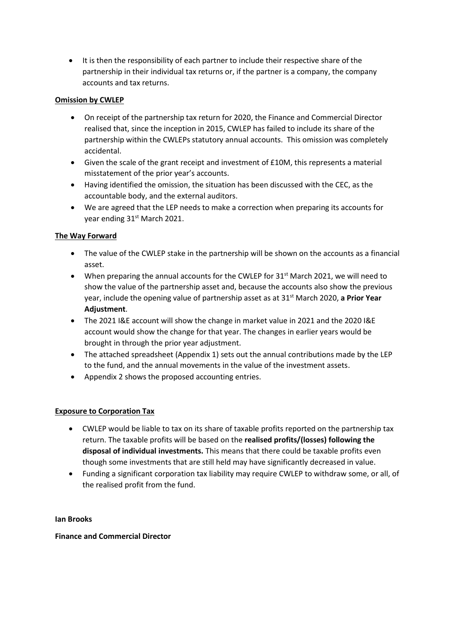• It is then the responsibility of each partner to include their respective share of the partnership in their individual tax returns or, if the partner is a company, the company accounts and tax returns.

### **Omission by CWLEP**

- On receipt of the partnership tax return for 2020, the Finance and Commercial Director realised that, since the inception in 2015, CWLEP has failed to include its share of the partnership within the CWLEPs statutory annual accounts. This omission was completely accidental.
- Given the scale of the grant receipt and investment of £10M, this represents a material misstatement of the prior year's accounts.
- Having identified the omission, the situation has been discussed with the CEC, as the accountable body, and the external auditors.
- We are agreed that the LEP needs to make a correction when preparing its accounts for year ending 31<sup>st</sup> March 2021.

## **The Way Forward**

- The value of the CWLEP stake in the partnership will be shown on the accounts as a financial asset.
- When preparing the annual accounts for the CWLEP for  $31<sup>st</sup>$  March 2021, we will need to show the value of the partnership asset and, because the accounts also show the previous year, include the opening value of partnership asset as at 31st March 2020, **a Prior Year Adjustment**.
- The 2021 I&E account will show the change in market value in 2021 and the 2020 I&E account would show the change for that year. The changes in earlier years would be brought in through the prior year adjustment.
- The attached spreadsheet (Appendix 1) sets out the annual contributions made by the LEP to the fund, and the annual movements in the value of the investment assets.
- Appendix 2 shows the proposed accounting entries.

### **Exposure to Corporation Tax**

- CWLEP would be liable to tax on its share of taxable profits reported on the partnership tax return. The taxable profits will be based on the **realised profits/(losses) following the disposal of individual investments.** This means that there could be taxable profits even though some investments that are still held may have significantly decreased in value.
- Funding a significant corporation tax liability may require CWLEP to withdraw some, or all, of the realised profit from the fund.

### **Ian Brooks**

### **Finance and Commercial Director**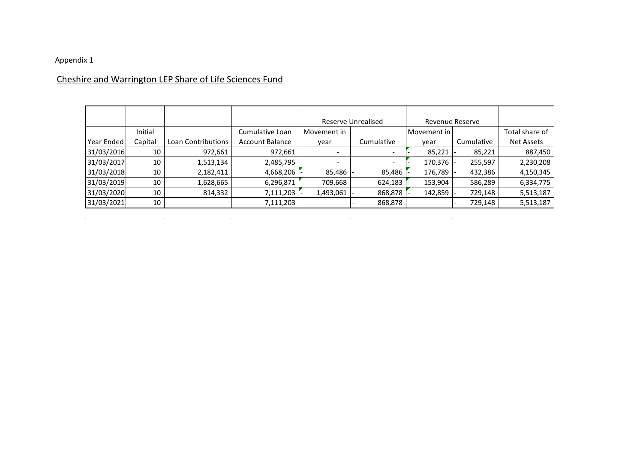## Appendix 1

# Cheshire and Warrington LEP Share of Life Sciences Fund

|            |         |                    |                        |                          | Reserve Unrealised | Revenue Reserve |            |                   |
|------------|---------|--------------------|------------------------|--------------------------|--------------------|-----------------|------------|-------------------|
|            | Initial |                    | Cumulative Loan        | Movement in              |                    | Movement in     |            | Total share of    |
| Year Ended | Capital | Loan Contributions | <b>Account Balance</b> | year                     | Cumulative         | vear            | Cumulative | <b>Net Assets</b> |
| 31/03/2016 | 10      | 972,661            | 972,661                | $\overline{\phantom{a}}$ |                    | 85,221          | 85,221     | 887,450           |
| 31/03/2017 | 10      | 1,513,134          | 2,485,795              | $\overline{\phantom{a}}$ |                    | 170,376         | 255,597    | 2,230,208         |
| 31/03/2018 | 10      | 2,182,411          | 4,668,206              | 85,486                   | 85,486             | 176,789         | 432,386    | 4,150,345         |
| 31/03/2019 | 10      | 1,628,665          | 6,296,871              | 709,668                  | 624,183            | 153,904         | 586,289    | 6,334,775         |
| 31/03/2020 | 10      | 814,332            | 7,111,203              | 1,493,061                | 868,878            | 142,859         | 729,148    | 5,513,187         |
| 31/03/2021 | 10      |                    | 7,111,203              |                          | 868,878            |                 | 729,148    | 5,513,187         |

,我们就是一个人的人,我们也不是一个人的人,我们也不是一个人的人,我们也不是一个人的人,我们也不是一个人的人,我们也不是一个人的人,我们也不是一个人的人,我们也不